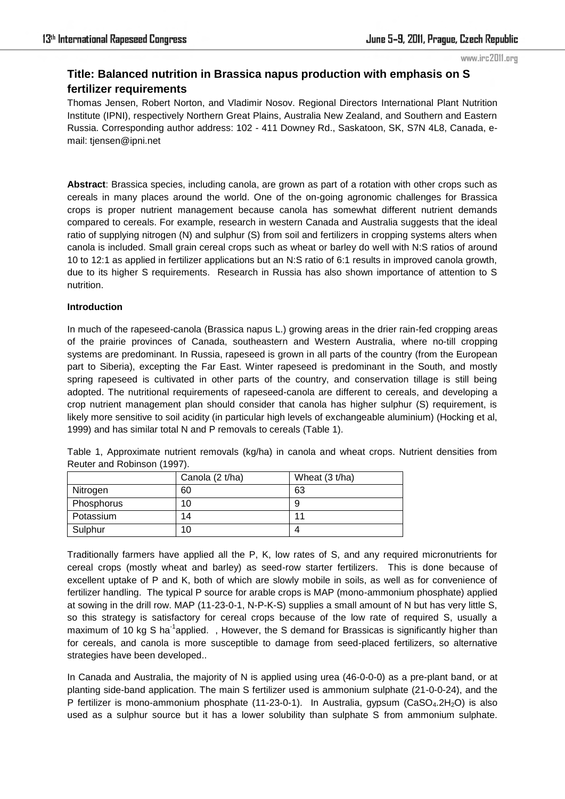### www.irc2011.org

# **Title: Balanced nutrition in Brassica napus production with emphasis on S fertilizer requirements**

Thomas Jensen, Robert Norton, and Vladimir Nosov. Regional Directors International Plant Nutrition Institute (IPNI), respectively Northern Great Plains, Australia New Zealand, and Southern and Eastern Russia. Corresponding author address: 102 - 411 Downey Rd., Saskatoon, SK, S7N 4L8, Canada, email: tjensen@ipni.net

**Abstract**: Brassica species, including canola, are grown as part of a rotation with other crops such as cereals in many places around the world. One of the on-going agronomic challenges for Brassica crops is proper nutrient management because canola has somewhat different nutrient demands compared to cereals. For example, research in western Canada and Australia suggests that the ideal ratio of supplying nitrogen (N) and sulphur (S) from soil and fertilizers in cropping systems alters when canola is included. Small grain cereal crops such as wheat or barley do well with N:S ratios of around 10 to 12:1 as applied in fertilizer applications but an N:S ratio of 6:1 results in improved canola growth, due to its higher S requirements. Research in Russia has also shown importance of attention to S nutrition.

## **Introduction**

In much of the rapeseed-canola (Brassica napus L.) growing areas in the drier rain-fed cropping areas of the prairie provinces of Canada, southeastern and Western Australia, where no-till cropping systems are predominant. In Russia, rapeseed is grown in all parts of the country (from the European part to Siberia), excepting the Far East. Winter rapeseed is predominant in the South, and mostly spring rapeseed is cultivated in other parts of the country, and conservation tillage is still being adopted. The nutritional requirements of rapeseed-canola are different to cereals, and developing a crop nutrient management plan should consider that canola has higher sulphur (S) requirement, is likely more sensitive to soil acidity (in particular high levels of exchangeable aluminium) (Hocking et al, 1999) and has similar total N and P removals to cereals (Table 1).

|            | Canola (2 t/ha) | Wheat (3 t/ha) |
|------------|-----------------|----------------|
| Nitrogen   | 60              | 63             |
| Phosphorus | 10              |                |
| Potassium  | 14              |                |
| Sulphur    | 10              |                |

Table 1, Approximate nutrient removals (kg/ha) in canola and wheat crops. Nutrient densities from Reuter and Robinson (1997).

Traditionally farmers have applied all the P, K, low rates of S, and any required micronutrients for cereal crops (mostly wheat and barley) as seed-row starter fertilizers. This is done because of excellent uptake of P and K, both of which are slowly mobile in soils, as well as for convenience of fertilizer handling. The typical P source for arable crops is MAP (mono-ammonium phosphate) applied at sowing in the drill row. MAP (11-23-0-1, N-P-K-S) supplies a small amount of N but has very little S, so this strategy is satisfactory for cereal crops because of the low rate of required S, usually a maximum of 10 kg S ha<sup>-1</sup>applied. , However, the S demand for Brassicas is significantly higher than for cereals, and canola is more susceptible to damage from seed-placed fertilizers, so alternative strategies have been developed..

In Canada and Australia, the majority of N is applied using urea (46-0-0-0) as a pre-plant band, or at planting side-band application. The main S fertilizer used is ammonium sulphate (21-0-0-24), and the P fertilizer is mono-ammonium phosphate (11-23-0-1). In Australia, gypsum (CaSO<sub>4</sub>.2H<sub>2</sub>O) is also used as a sulphur source but it has a lower solubility than sulphate S from ammonium sulphate.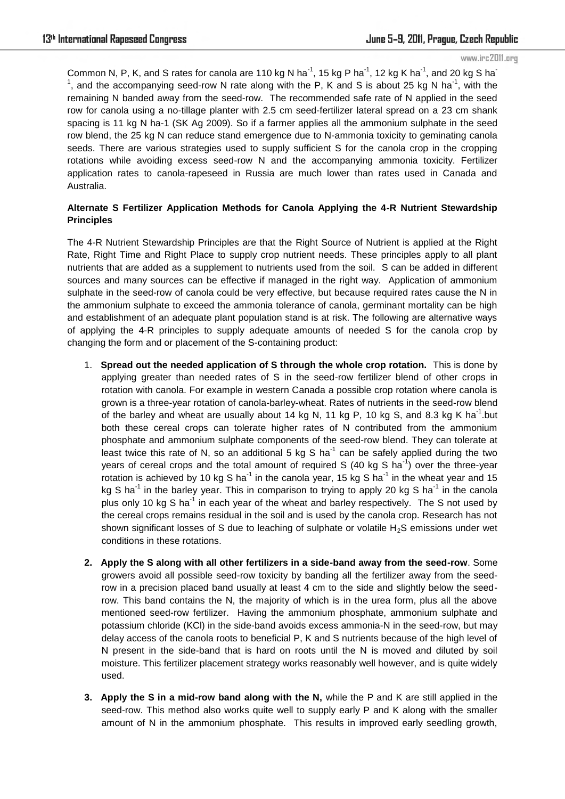#### www.irc2011.org

Common N, P, K, and S rates for canola are 110 kg N ha<sup>-1</sup>, 15 kg P ha<sup>-1</sup>, 12 kg K ha<sup>-1</sup>, and 20 kg S ha<sup>-1</sup> <sup>1</sup>, and the accompanying seed-row N rate along with the P, K and S is about 25 kg N ha<sup>-1</sup>, with the remaining N banded away from the seed-row. The recommended safe rate of N applied in the seed row for canola using a no-tillage planter with 2.5 cm seed-fertilizer lateral spread on a 23 cm shank spacing is 11 kg N ha-1 (SK Ag 2009). So if a farmer applies all the ammonium sulphate in the seed row blend, the 25 kg N can reduce stand emergence due to N-ammonia toxicity to geminating canola seeds. There are various strategies used to supply sufficient S for the canola crop in the cropping rotations while avoiding excess seed-row N and the accompanying ammonia toxicity. Fertilizer application rates to canola-rapeseed in Russia are much lower than rates used in Canada and Australia.

# **Alternate S Fertilizer Application Methods for Canola Applying the 4-R Nutrient Stewardship Principles**

The 4-R Nutrient Stewardship Principles are that the Right Source of Nutrient is applied at the Right Rate, Right Time and Right Place to supply crop nutrient needs. These principles apply to all plant nutrients that are added as a supplement to nutrients used from the soil. S can be added in different sources and many sources can be effective if managed in the right way. Application of ammonium sulphate in the seed-row of canola could be very effective, but because required rates cause the N in the ammonium sulphate to exceed the ammonia tolerance of canola, germinant mortality can be high and establishment of an adequate plant population stand is at risk. The following are alternative ways of applying the 4-R principles to supply adequate amounts of needed S for the canola crop by changing the form and or placement of the S-containing product:

- 1. **Spread out the needed application of S through the whole crop rotation.** This is done by applying greater than needed rates of S in the seed-row fertilizer blend of other crops in rotation with canola. For example in western Canada a possible crop rotation where canola is grown is a three-year rotation of canola-barley-wheat. Rates of nutrients in the seed-row blend of the barley and wheat are usually about 14 kg N, 11 kg P, 10 kg S, and 8.3 kg K ha<sup>-1</sup> but both these cereal crops can tolerate higher rates of N contributed from the ammonium phosphate and ammonium sulphate components of the seed-row blend. They can tolerate at least twice this rate of N, so an additional 5 kg S ha<sup>-1</sup> can be safely applied during the two years of cereal crops and the total amount of required S (40 kg S ha<sup>-1</sup>) over the three-year rotation is achieved by 10 kg S ha<sup>-1</sup> in the canola year, 15 kg S ha<sup>-1</sup> in the wheat year and 15 kg S ha<sup>-1</sup> in the barley year. This in comparison to trying to apply 20 kg S ha<sup>-1</sup> in the canola plus only 10 kg S ha<sup>-1</sup> in each year of the wheat and barley respectively. The S not used by the cereal crops remains residual in the soil and is used by the canola crop. Research has not shown significant losses of S due to leaching of sulphate or volatile  $H_2S$  emissions under wet conditions in these rotations.
- **2. Apply the S along with all other fertilizers in a side-band away from the seed-row**. Some growers avoid all possible seed-row toxicity by banding all the fertilizer away from the seedrow in a precision placed band usually at least 4 cm to the side and slightly below the seedrow. This band contains the N, the majority of which is in the urea form, plus all the above mentioned seed-row fertilizer. Having the ammonium phosphate, ammonium sulphate and potassium chloride (KCl) in the side-band avoids excess ammonia-N in the seed-row, but may delay access of the canola roots to beneficial P, K and S nutrients because of the high level of N present in the side-band that is hard on roots until the N is moved and diluted by soil moisture. This fertilizer placement strategy works reasonably well however, and is quite widely used.
- **3. Apply the S in a mid-row band along with the N,** while the P and K are still applied in the seed-row. This method also works quite well to supply early P and K along with the smaller amount of N in the ammonium phosphate. This results in improved early seedling growth,